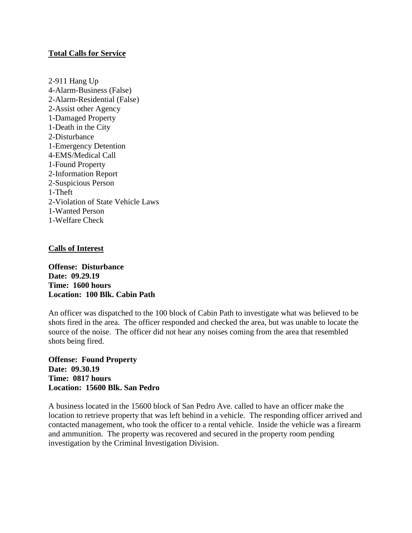# **Total Calls for Service**

2-911 Hang Up 4-Alarm-Business (False) 2-Alarm-Residential (False) 2-Assist other Agency 1-Damaged Property 1-Death in the City 2-Disturbance 1-Emergency Detention 4-EMS/Medical Call 1-Found Property 2-Information Report 2-Suspicious Person 1-Theft 2-Violation of State Vehicle Laws 1**-**Wanted Person 1-Welfare Check

# **Calls of Interest**

**Offense: Disturbance Date: 09.29.19 Time: 1600 hours Location: 100 Blk. Cabin Path**

An officer was dispatched to the 100 block of Cabin Path to investigate what was believed to be shots fired in the area. The officer responded and checked the area, but was unable to locate the source of the noise. The officer did not hear any noises coming from the area that resembled shots being fired.

**Offense: Found Property Date: 09.30.19 Time: 0817 hours Location: 15600 Blk. San Pedro**

A business located in the 15600 block of San Pedro Ave. called to have an officer make the location to retrieve property that was left behind in a vehicle. The responding officer arrived and contacted management, who took the officer to a rental vehicle. Inside the vehicle was a firearm and ammunition. The property was recovered and secured in the property room pending investigation by the Criminal Investigation Division.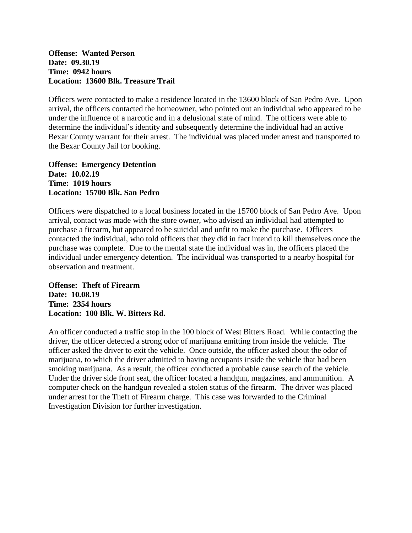## **Offense: Wanted Person Date: 09.30.19 Time: 0942 hours Location: 13600 Blk. Treasure Trail**

Officers were contacted to make a residence located in the 13600 block of San Pedro Ave. Upon arrival, the officers contacted the homeowner, who pointed out an individual who appeared to be under the influence of a narcotic and in a delusional state of mind. The officers were able to determine the individual's identity and subsequently determine the individual had an active Bexar County warrant for their arrest. The individual was placed under arrest and transported to the Bexar County Jail for booking.

**Offense: Emergency Detention Date: 10.02.19 Time: 1019 hours Location: 15700 Blk. San Pedro**

Officers were dispatched to a local business located in the 15700 block of San Pedro Ave. Upon arrival, contact was made with the store owner, who advised an individual had attempted to purchase a firearm, but appeared to be suicidal and unfit to make the purchase. Officers contacted the individual, who told officers that they did in fact intend to kill themselves once the purchase was complete. Due to the mental state the individual was in, the officers placed the individual under emergency detention. The individual was transported to a nearby hospital for observation and treatment.

**Offense: Theft of Firearm Date: 10.08.19 Time: 2354 hours Location: 100 Blk. W. Bitters Rd.**

An officer conducted a traffic stop in the 100 block of West Bitters Road. While contacting the driver, the officer detected a strong odor of marijuana emitting from inside the vehicle. The officer asked the driver to exit the vehicle. Once outside, the officer asked about the odor of marijuana, to which the driver admitted to having occupants inside the vehicle that had been smoking marijuana. As a result, the officer conducted a probable cause search of the vehicle. Under the driver side front seat, the officer located a handgun, magazines, and ammunition. A computer check on the handgun revealed a stolen status of the firearm. The driver was placed under arrest for the Theft of Firearm charge. This case was forwarded to the Criminal Investigation Division for further investigation.